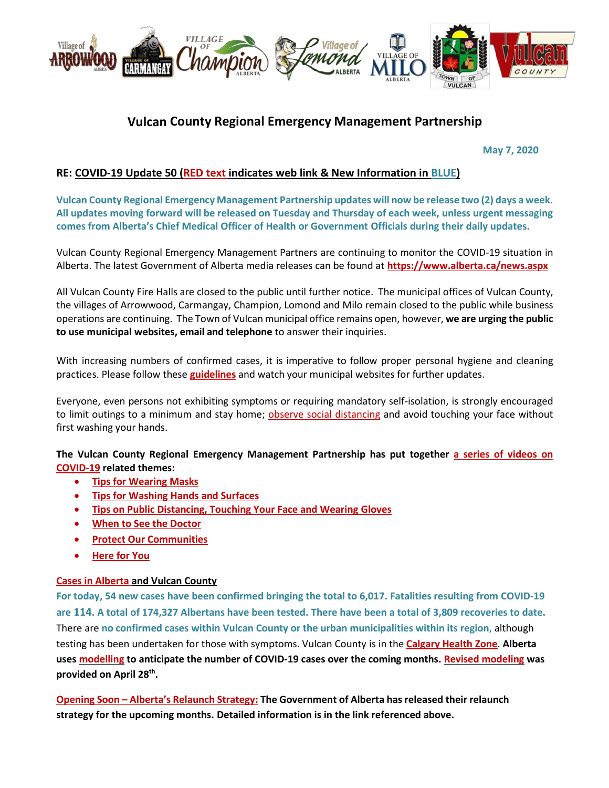

# **Vulcan County Regional Emergency Management Partnership**

 **May 7, 2020**

## **RE: COVID-19 Update 50 (RED text indicates web link & New Information in BLUE)**

**Vulcan County Regional Emergency Management Partnership updates will now be release two (2) days a week. All updates moving forward will be released on Tuesday and Thursday of each week, unless urgent messaging comes from Alberta's Chief Medical Officer of Health or Government Officials during their daily updates.**

Vulcan County Regional Emergency Management Partners are continuing to monitor the COVID-19 situation in Alberta. The latest Government of Alberta media releases can be found at **<https://www.alberta.ca/news.aspx>**

All Vulcan County Fire Halls are closed to the public until further notice. The municipal offices of Vulcan County, the villages of Arrowwood, Carmangay, Champion, Lomond and Milo remain closed to the public while business operations are continuing. The Town of Vulcan municipal office remains open, however, **we are urging the public to use municipal websites, email and telephone** to answer their inquiries.

With increasing numbers of confirmed cases, it is imperative to follow proper personal hygiene and cleaning practices. Please follow these **[guidelines](https://www.albertahealthservices.ca/topics/Page16997.aspx#sign)** and watch your municipal websites for further updates.

Everyone, even persons not exhibiting symptoms or requiring mandatory self-isolation, is strongly encouraged to limit outings to a minimum and stay home; [observe social distancing](https://www.albertahealthservices.ca/topics/Page17008.aspx) and avoid touching your face without first washing your hands.

**The Vulcan County Regional Emergency Management Partnership has put together [a series of videos on](https://villageoflomond.ca/allremavideos/)  [COVID-19](https://villageoflomond.ca/allremavideos/) related themes:**

- **[Tips for Wearing Masks](https://youtu.be/mS2rSlOT2n0)**
- **[Tips for Washing Hands and Surfaces](https://youtu.be/pWpGo3uQe-4)**
- **[Tips on Public Distancing, Touching Your Face and Wearing](https://youtu.be/84qhhl06TII) Gloves**
- **[When to See the Doctor](https://youtu.be/raDnetqvEXk)**
- **•** [Protect Our Communities](https://www.youtube.com/watch?v=swS6GGn_iYg&feature=youtu.be)
- **[Here for You](https://www.youtube.com/watch?v=QhxWFY7HuM4&feature=youtu.be)**

#### **[Cases in Alberta](https://covid19stats.alberta.ca/) and Vulcan County**

**For today, 54 new cases have been confirmed bringing the total to 6,017. Fatalities resulting from COVID-19 are 114. A total of 174,327 Albertans have been tested. There have been a total of 3,809 recoveries to date.** There are **no confirmed cases within Vulcan County or the urban municipalities within its region**, although testing has been undertaken for those with symptoms. Vulcan County is in the **[Calgary Health Zone](https://www.albertahealthservices.ca/ahs-map-ahs-zones.pdf)**. **Alberta uses [modelling](https://www.alberta.ca/assets/documents/covid-19-case-modelling-projection.pdf) to anticipate the number of COVID-19 cases over the coming months. [Revised modeling](https://www.alberta.ca/assets/documents/covid-19-case-modelling-projection-april-28.pdf) was provided on April 28th .**

**Opening Soon – [Alberta's Relaunch Strategy](https://www.alberta.ca/external/covid19-alberta-relaunch-strategy.pdf): The Government of Alberta has released their relaunch strategy for the upcoming months. Detailed information is in the link referenced above.**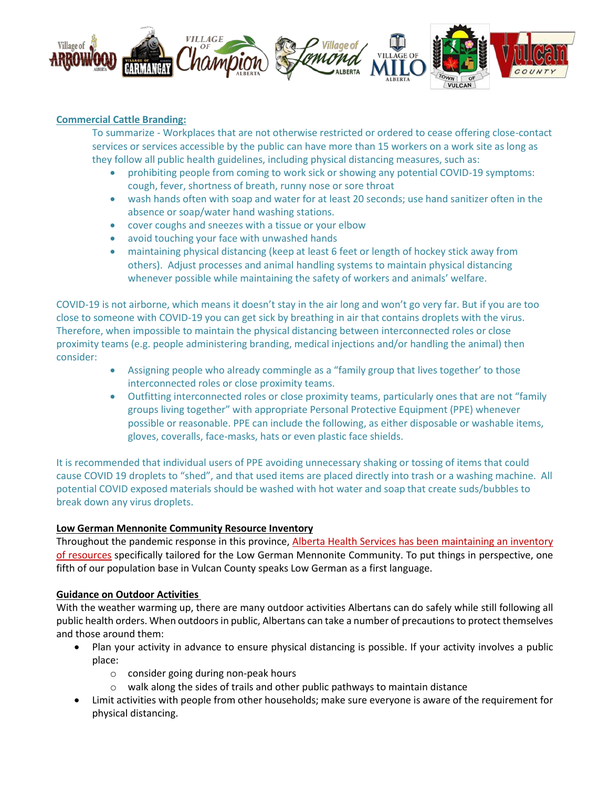

#### **Commercial Cattle Branding:**

To summarize - Workplaces that are not otherwise restricted or ordered to cease offering close-contact services or services accessible by the public can have more than 15 workers on a work site as long as they follow all public health guidelines, including physical distancing measures, such as:

- prohibiting people from coming to work sick or showing any potential COVID-19 symptoms: cough, fever, shortness of breath, runny nose or sore throat
- wash hands often with soap and water for at least 20 seconds; use hand sanitizer often in the absence or soap/water hand washing stations.
- cover coughs and sneezes with a tissue or your elbow
- avoid touching your face with unwashed hands
- maintaining physical distancing (keep at least 6 feet or length of hockey stick away from others). Adjust processes and animal handling systems to maintain physical distancing whenever possible while maintaining the safety of workers and animals' welfare.

COVID-19 is not airborne, which means it doesn't stay in the air long and won't go very far. But if you are too close to someone with COVID-19 you can get sick by breathing in air that contains droplets with the virus. Therefore, when impossible to maintain the physical distancing between interconnected roles or close proximity teams (e.g. people administering branding, medical injections and/or handling the animal) then consider:

- Assigning people who already commingle as a "family group that lives together' to those interconnected roles or close proximity teams.
- Outfitting interconnected roles or close proximity teams, particularly ones that are not "family groups living together" with appropriate Personal Protective Equipment (PPE) whenever possible or reasonable. PPE can include the following, as either disposable or washable items, gloves, coveralls, face-masks, hats or even plastic face shields.

It is recommended that individual users of PPE avoiding unnecessary shaking or tossing of items that could cause COVID 19 droplets to "shed", and that used items are placed directly into trash or a washing machine. All potential COVID exposed materials should be washed with hot water and soap that create suds/bubbles to break down any virus droplets.

#### **Low German Mennonite Community Resource Inventory**

Throughout the pandemic response in this province, Alberta Health Services has been maintaining an inventory [of resources](https://sites.google.com/view/lgmcovidresources/home) specifically tailored for the Low German Mennonite Community. To put things in perspective, one fifth of our population base in Vulcan County speaks Low German as a first language.

#### **Guidance on Outdoor Activities**

With the weather warming up, there are many outdoor activities Albertans can do safely while still following all public health orders. When outdoors in public, Albertans can take a number of precautions to protect themselves and those around them:

- Plan your activity in advance to ensure physical distancing is possible. If your activity involves a public place:
	- o consider going during non-peak hours
	- o walk along the sides of trails and other public pathways to maintain distance
- Limit activities with people from other households; make sure everyone is aware of the requirement for physical distancing.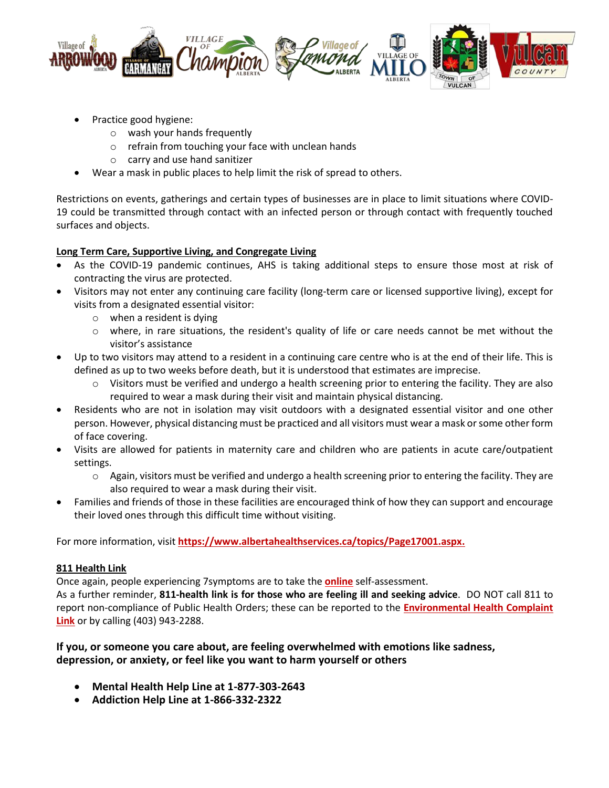

- Practice good hygiene:
	- o wash your hands frequently
	- o refrain from touching your face with unclean hands
	- o carry and use hand sanitizer
- Wear a mask in public places to help limit the risk of spread to others.

Restrictions on events, gatherings and certain types of businesses are in place to limit situations where COVID-19 could be transmitted through contact with an infected person or through contact with frequently touched surfaces and objects.

# **Long Term Care, Supportive Living, and Congregate Living**

- As the COVID-19 pandemic continues, AHS is taking additional steps to ensure those most at risk of contracting the virus are protected.
- Visitors may not enter any continuing care facility (long-term care or licensed supportive living), except for visits from a designated essential visitor:
	- o when a resident is dying
	- o where, in rare situations, the resident's quality of life or care needs cannot be met without the visitor's assistance
- Up to two visitors may attend to a resident in a continuing care centre who is at the end of their life. This is defined as up to two weeks before death, but it is understood that estimates are imprecise.
	- $\circ$  Visitors must be verified and undergo a health screening prior to entering the facility. They are also required to wear a mask during their visit and maintain physical distancing.
- Residents who are not in isolation may visit outdoors with a designated essential visitor and one other person. However, physical distancing must be practiced and all visitors must wear a mask or some other form of face covering.
- Visits are allowed for patients in maternity care and children who are patients in acute care/outpatient settings.
	- o Again, visitors must be verified and undergo a health screening prior to entering the facility. They are also required to wear a mask during their visit.
- Families and friends of those in these facilities are encouraged think of how they can support and encourage their loved ones through this difficult time without visiting.

For more information, visit **[https://www.albertahealthservices.ca/topics/Page17001.aspx.](https://www.albertahealthservices.ca/topics/Page17001.aspx)**

## **811 Health Link**

Once again, people experiencing 7symptoms are to take the **[online](https://myhealth.alberta.ca/Journey/COVID-19/Pages/COVID-Self-Assessment.aspx)** self-assessment.

As a further reminder, **811-health link is for those who are feeling ill and seeking advice**. DO NOT call 811 to report non-compliance of Public Health Orders; these can be reported to the **[Environmental Health Complaint](https://ephisahs.microsoftcrmportals.com/create-case/)  [Link](https://ephisahs.microsoftcrmportals.com/create-case/)** or by calling (403) 943-2288.

# **If you, or someone you care about, are feeling overwhelmed with emotions like sadness, depression, or anxiety, or feel like you want to harm yourself or others**

- **Mental Health Help Line at 1-877-303-2643**
- **Addiction Help Line at 1-866-332-2322**